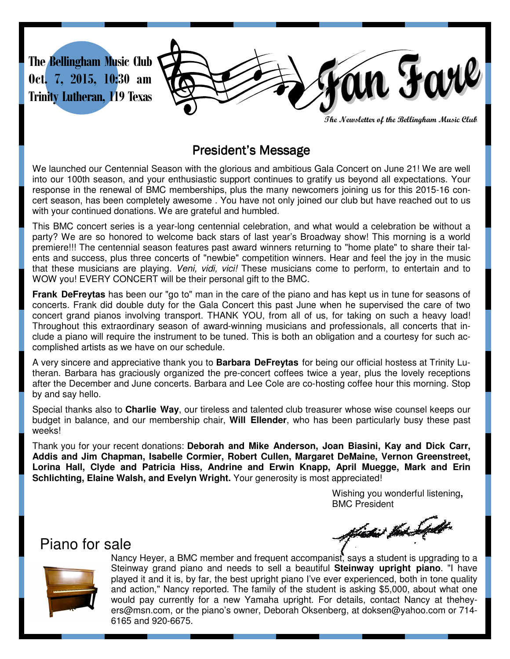

**The Newsletter of the Bellingham Music Club** 

## President's Message

We launched our Centennial Season with the glorious and ambitious Gala Concert on June 21! We are well into our 100th season, and your enthusiastic support continues to gratify us beyond all expectations. Your response in the renewal of BMC memberships, plus the many newcomers joining us for this 2015-16 concert season, has been completely awesome . You have not only joined our club but have reached out to us with your continued donations. We are grateful and humbled.

This BMC concert series is a year-long centennial celebration, and what would a celebration be without a party? We are so honored to welcome back stars of last year's Broadway show! This morning is a world premiere!!! The centennial season features past award winners returning to "home plate" to share their talents and success, plus three concerts of "newbie" competition winners. Hear and feel the joy in the music that these musicians are playing. *Veni, vidi, vici!* These musicians come to perform, to entertain and to WOW you! EVERY CONCERT will be their personal gift to the BMC.

**Frank DeFreytas** has been our "go to" man in the care of the piano and has kept us in tune for seasons of concerts. Frank did double duty for the Gala Concert this past June when he supervised the care of two concert grand pianos involving transport. THANK YOU, from all of us, for taking on such a heavy load! Throughout this extraordinary season of award-winning musicians and professionals, all concerts that include a piano will require the instrument to be tuned. This is both an obligation and a courtesy for such accomplished artists as we have on our schedule.

A very sincere and appreciative thank you to **Barbara DeFreytas** for being our official hostess at Trinity Lutheran. Barbara has graciously organized the pre-concert coffees twice a year, plus the lovely receptions after the December and June concerts. Barbara and Lee Cole are co-hosting coffee hour this morning. Stop by and say hello.

Special thanks also to **Charlie Way**, our tireless and talented club treasurer whose wise counsel keeps our budget in balance, and our membership chair, **Will Ellender**, who has been particularly busy these past weeks!

Thank you for your recent donations: **Deborah and Mike Anderson, Joan Biasini, Kay and Dick Carr, Addis and Jim Chapman, Isabelle Cormier, Robert Cullen, Margaret DeMaine, Vernon Greenstreet, Lorina Hall, Clyde and Patricia Hiss, Andrine and Erwin Knapp, April Muegge, Mark and Erin Schlichting, Elaine Walsh, and Evelyn Wright.** Your generosity is most appreciated!

> Wishing you wonderful listening**,**  BMC President

Piano for sale

fictie the Sept



Nancy Heyer, a BMC member and frequent accompanist, says a student is upgrading to a Steinway grand piano and needs to sell a beautiful **Steinway upright piano**. "I have played it and it is, by far, the best upright piano I've ever experienced, both in tone quality and action," Nancy reported. The family of the student is asking \$5,000, about what one would pay currently for a new Yamaha upright. For details, contact Nancy at theheyers@msn.com, or the piano's owner, Deborah Oksenberg, at doksen@yahoo.com or 714- 6165 and 920-6675.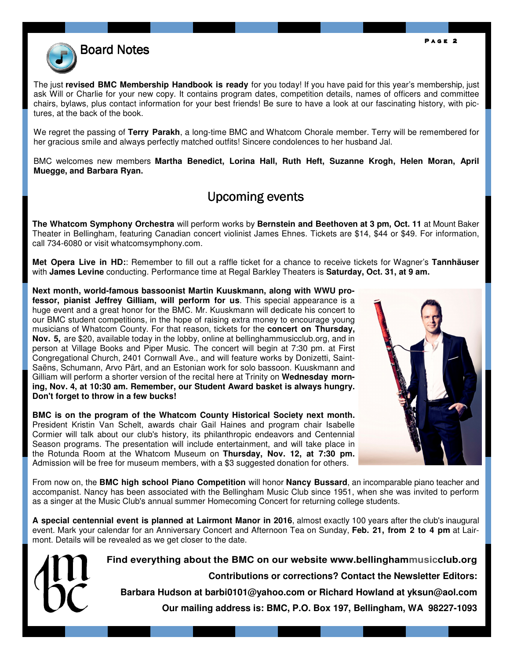

The just **revised BMC Membership Handbook is ready** for you today! If you have paid for this year's membership, just ask Will or Charlie for your new copy. It contains program dates, competition details, names of officers and committee chairs, bylaws, plus contact information for your best friends! Be sure to have a look at our fascinating history, with pictures, at the back of the book.

We regret the passing of **Terry Parakh**, a long-time BMC and Whatcom Chorale member. Terry will be remembered for her gracious smile and always perfectly matched outfits! Sincere condolences to her husband Jal.

BMC welcomes new members **Martha Benedict, Lorina Hall, Ruth Heft, Suzanne Krogh, Helen Moran, April Muegge, and Barbara Ryan.** 

## Upcoming events

**The Whatcom Symphony Orchestra** will perform works by **Bernstein and Beethoven at 3 pm, Oct. 11** at Mount Baker Theater in Bellingham, featuring Canadian concert violinist James Ehnes. Tickets are \$14, \$44 or \$49. For information, call 734-6080 or visit whatcomsymphony.com.

**Met Opera Live in HD:**: Remember to fill out a raffle ticket for a chance to receive tickets for Wagner's **Tannhäuser** with **James Levine** conducting. Performance time at Regal Barkley Theaters is **Saturday, Oct. 31, at 9 am.** 

**Next month, world-famous bassoonist Martin Kuuskmann, along with WWU professor, pianist Jeffrey Gilliam, will perform for us**. This special appearance is a huge event and a great honor for the BMC. Mr. Kuuskmann will dedicate his concert to our BMC student competitions, in the hope of raising extra money to encourage young musicians of Whatcom County. For that reason, tickets for the **concert on Thursday, Nov. 5,** are \$20, available today in the lobby, online at bellinghammusicclub.org, and in person at Village Books and Piper Music. The concert will begin at 7:30 pm. at First Congregational Church, 2401 Cornwall Ave., and will feature works by Donizetti, Saint-Saëns, Schumann, Arvo Pärt, and an Estonian work for solo bassoon. Kuuskmann and Gilliam will perform a shorter version of the recital here at Trinity on **Wednesday morning, Nov. 4, at 10:30 am. Remember, our Student Award basket is always hungry. Don't forget to throw in a few bucks!** 

**BMC is on the program of the Whatcom County Historical Society next month.**  President Kristin Van Schelt, awards chair Gail Haines and program chair Isabelle Cormier will talk about our club's history, its philanthropic endeavors and Centennial Season programs. The presentation will include entertainment, and will take place in the Rotunda Room at the Whatcom Museum on **Thursday, Nov. 12, at 7:30 pm.** Admission will be free for museum members, with a \$3 suggested donation for others.



From now on, the **BMC high school Piano Competition** will honor **Nancy Bussard**, an incomparable piano teacher and accompanist. Nancy has been associated with the Bellingham Music Club since 1951, when she was invited to perform as a singer at the Music Club's annual summer Homecoming Concert for returning college students.

**A special centennial event is planned at Lairmont Manor in 2016**, almost exactly 100 years after the club's inaugural event. Mark your calendar for an Anniversary Concert and Afternoon Tea on Sunday, **Feb. 21, from 2 to 4 pm** at Lairmont. Details will be revealed as we get closer to the date.



**Find everything about the BMC on our website www.bellinghammusicclub.org** 

**Contributions or corrections? Contact the Newsletter Editors:** 

**Barbara Hudson at barbi0101@yahoo.com or Richard Howland at yksun@aol.com** 

**Our mailing address is: BMC, P.O. Box 197, Bellingham, WA 98227-1093**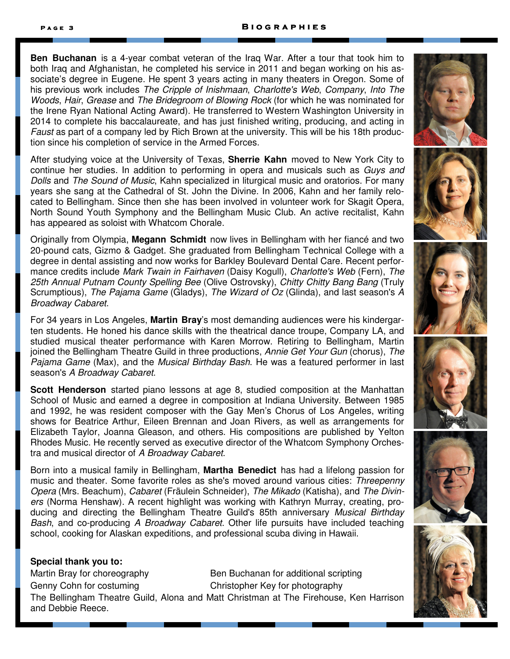**Ben Buchanan** is a 4-year combat veteran of the Iraq War. After a tour that took him to both Iraq and Afghanistan, he completed his service in 2011 and began working on his associate's degree in Eugene. He spent 3 years acting in many theaters in Oregon. Some of his previous work includes The Cripple of Inishmaan, Charlotte's Web, Company, Into The Woods, Hair, Grease and The Bridegroom of Blowing Rock (for which he was nominated for the Irene Ryan National Acting Award). He transferred to Western Washington University in 2014 to complete his baccalaureate, and has just finished writing, producing, and acting in Faust as part of a company led by Rich Brown at the university. This will be his 18th production since his completion of service in the Armed Forces.

After studying voice at the University of Texas, **Sherrie Kahn** moved to New York City to continue her studies. In addition to performing in opera and musicals such as Guys and Dolls and The Sound of Music, Kahn specialized in liturgical music and oratorios. For many years she sang at the Cathedral of St. John the Divine. In 2006, Kahn and her family relocated to Bellingham. Since then she has been involved in volunteer work for Skagit Opera, North Sound Youth Symphony and the Bellingham Music Club. An active recitalist, Kahn has appeared as soloist with Whatcom Chorale.

Originally from Olympia, **Megann Schmidt** now lives in Bellingham with her fiancé and two 20-pound cats, Gizmo & Gadget. She graduated from Bellingham Technical College with a degree in dental assisting and now works for Barkley Boulevard Dental Care. Recent performance credits include Mark Twain in Fairhaven (Daisy Kogull), Charlotte's Web (Fern), The 25th Annual Putnam County Spelling Bee (Olive Ostrovsky), Chitty Chitty Bang Bang (Truly Scrumptious), The Pajama Game (Gladys), The Wizard of Oz (Glinda), and last season's A Broadway Cabaret.

For 34 years in Los Angeles, **Martin Bray**'s most demanding audiences were his kindergarten students. He honed his dance skills with the theatrical dance troupe, Company LA, and studied musical theater performance with Karen Morrow. Retiring to Bellingham, Martin joined the Bellingham Theatre Guild in three productions, Annie Get Your Gun (chorus), The Pajama Game (Max), and the Musical Birthday Bash. He was a featured performer in last season's A Broadway Cabaret.

**Scott Henderson** started piano lessons at age 8, studied composition at the Manhattan School of Music and earned a degree in composition at Indiana University. Between 1985 and 1992, he was resident composer with the Gay Men's Chorus of Los Angeles, writing shows for Beatrice Arthur, Eileen Brennan and Joan Rivers, as well as arrangements for Elizabeth Taylor, Joanna Gleason, and others. His compositions are published by Yelton Rhodes Music. He recently served as executive director of the Whatcom Symphony Orchestra and musical director of A Broadway Cabaret.

Born into a musical family in Bellingham, **Martha Benedict** has had a lifelong passion for music and theater. Some favorite roles as she's moved around various cities: Threepenny Opera (Mrs. Beachum), Cabaret (Fräulein Schneider), The Mikado (Katisha), and The Diviners (Norma Henshaw). A recent highlight was working with Kathryn Murray, creating, producing and directing the Bellingham Theatre Guild's 85th anniversary Musical Birthday Bash, and co-producing A Broadway Cabaret. Other life pursuits have included teaching school, cooking for Alaskan expeditions, and professional scuba diving in Hawaii.

## **Special thank you to:**

Martin Bray for choreography Ben Buchanan for additional scripting Genny Cohn for costuming Christopher Key for photography The Bellingham Theatre Guild, Alona and Matt Christman at The Firehouse, Ken Harrison and Debbie Reece.